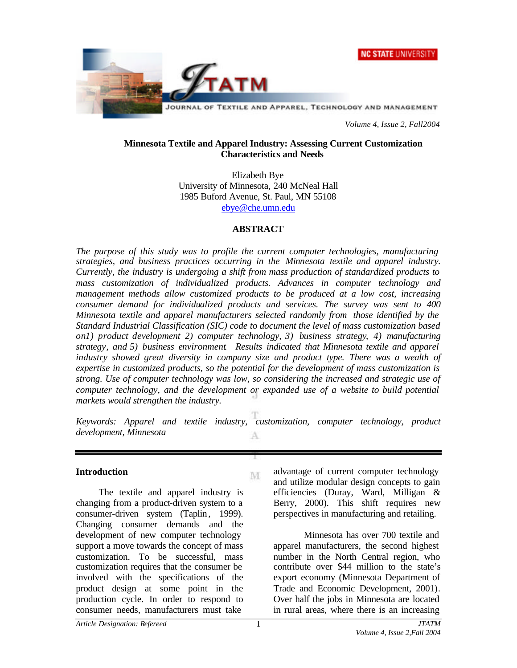



*Volume 4, Issue 2, Fall2004*

### **Minnesota Textile and Apparel Industry: Assessing Current Customization Characteristics and Needs**

Elizabeth Bye University of Minnesota, 240 McNeal Hall 1985 Buford Avenue, St. Paul, MN 55108 ebye@che.umn.edu

#### **ABSTRACT**

*The purpose of this study was to profile the current computer technologies, manufacturing strategies, and business practices occurring in the Minnesota textile and apparel industry. Currently, the industry is undergoing a shift from mass production of standardized products to mass customization of individualized products. Advances in computer technology and management methods allow customized products to be produced at a low cost, increasing consumer demand for individualized products and services. The survey was sent to 400 Minnesota textile and apparel manufacturers selected randomly from those identified by the Standard Industrial Classification (SIC) code to document the level of mass customization based on1) product development 2) computer technology, 3) business strategy, 4) manufacturing strategy, and 5) business environment. Results indicated that Minnesota textile and apparel industry showed great diversity in company size and product type. There was a wealth of expertise in customized products, so the potential for the development of mass customization is strong. Use of computer technology was low, so considering the increased and strategic use of computer technology, and the development or expanded use of a website to build potential markets would strengthen the industry.*

*Keywords: Apparel and textile industry, customization, computer technology, product development, Minnesota* A

M

#### **Introduction**

The textile and apparel industry is changing from a product-driven system to a consumer-driven system (Taplin, 1999). Changing consumer demands and the development of new computer technology support a move towards the concept of mass customization. To be successful, mass customization requires that the consumer be involved with the specifications of the product design at some point in the production cycle. In order to respond to consumer needs, manufacturers must take

advantage of current computer technology and utilize modular design concepts to gain efficiencies (Duray, Ward, Milligan & Berry, 2000). This shift requires new perspectives in manufacturing and retailing.

Minnesota has over 700 textile and apparel manufacturers, the second highest number in the North Central region, who contribute over \$44 million to the state's export economy (Minnesota Department of Trade and Economic Development, 2001). Over half the jobs in Minnesota are located in rural areas, where there is an increasing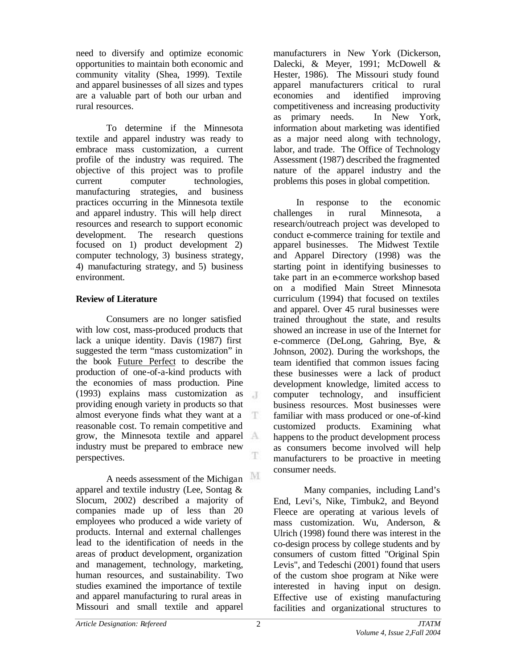need to diversify and optimize economic opportunities to maintain both economic and community vitality (Shea, 1999). Textile and apparel businesses of all sizes and types are a valuable part of both our urban and rural resources.

To determine if the Minnesota textile and apparel industry was ready to embrace mass customization, a current profile of the industry was required. The objective of this project was to profile current computer technologies, manufacturing strategies, and business practices occurring in the Minnesota textile and apparel industry. This will help direct resources and research to support economic development. The research questions focused on 1) product development 2) computer technology, 3) business strategy, 4) manufacturing strategy, and 5) business environment.

## **Review of Literature**

Consumers are no longer satisfied with low cost, mass-produced products that lack a unique identity. Davis (1987) first suggested the term "mass customization" in the book Future Perfect to describe the production of one-of-a-kind products with the economies of mass production. Pine (1993) explains mass customization as providing enough variety in products so that almost everyone finds what they want at a reasonable cost. To remain competitive and grow, the Minnesota textile and apparel industry must be prepared to embrace new T perspectives.

A needs assessment of the Michigan  $\mathbb M$ apparel and textile industry (Lee, Sontag & Slocum, 2002) described a majority of companies made up of less than 20 employees who produced a wide variety of products. Internal and external challenges lead to the identification of needs in the areas of product development, organization and management, technology, marketing, human resources, and sustainability. Two studies examined the importance of textile and apparel manufacturing to rural areas in Missouri and small textile and apparel

manufacturers in New York (Dickerson, Dalecki, & Meyer, 1991; McDowell & Hester, 1986). The Missouri study found apparel manufacturers critical to rural economies and identified improving competitiveness and increasing productivity as primary needs. In New York, information about marketing was identified as a major need along with technology, labor, and trade. The Office of Technology Assessment (1987) described the fragmented nature of the apparel industry and the problems this poses in global competition.

In response to the economic challenges in rural Minnesota, a research/outreach project was developed to conduct e-commerce training for textile and apparel businesses. The Midwest Textile and Apparel Directory (1998) was the starting point in identifying businesses to take part in an e-commerce workshop based on a modified Main Street Minnesota curriculum (1994) that focused on textiles and apparel. Over 45 rural businesses were trained throughout the state, and results showed an increase in use of the Internet for e-commerce (DeLong, Gahring, Bye, & Johnson, 2002). During the workshops, the team identified that common issues facing these businesses were a lack of product development knowledge, limited access to computer technology, and insufficient business resources. Most businesses were familiar with mass produced or one-of-kind customized products. Examining what happens to the product development process as consumers become involved will help manufacturers to be proactive in meeting consumer needs.

Many companies, including Land's End, Levi's, Nike, Timbuk2, and Beyond Fleece are operating at various levels of mass customization. Wu, Anderson, & Ulrich (1998) found there was interest in the co-design process by college students and by consumers of custom fitted "Original Spin Levis", and Tedeschi (2001) found that users of the custom shoe program at Nike were interested in having input on design. Effective use of existing manufacturing facilities and organizational structures to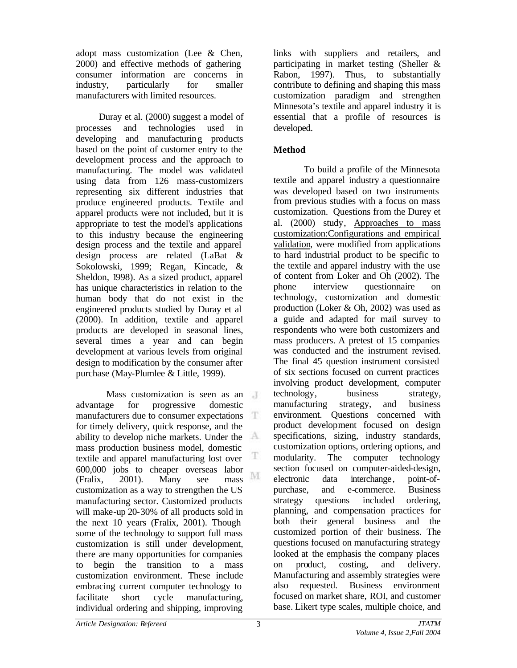adopt mass customization (Lee & Chen, 2000) and effective methods of gathering consumer information are concerns in industry, particularly for smaller manufacturers with limited resources.

Duray et al. (2000) suggest a model of processes and technologies used in developing and manufacturing products based on the point of customer entry to the development process and the approach to manufacturing. The model was validated using data from 126 mass-customizers representing six different industries that produce engineered products. Textile and apparel products were not included, but it is appropriate to test the model's applications to this industry because the engineering design process and the textile and apparel design process are related (LaBat & Sokolowski, 1999; Regan, Kincade, & Sheldon, 1998). As a sized product, apparel has unique characteristics in relation to the human body that do not exist in the engineered products studied by Duray et al (2000). In addition, textile and apparel products are developed in seasonal lines, several times a year and can begin development at various levels from original design to modification by the consumer after purchase (May-Plumlee & Little, 1999).

Mass customization is seen as an advantage for progressive domestic manufacturers due to consumer expectations for timely delivery, quick response, and the ability to develop niche markets. Under the  $A$ mass production business model, domestic T. textile and apparel manufacturing lost over 600,000 jobs to cheaper overseas labor M (Fralix, 2001). Many see mass customization as a way to strengthen the US manufacturing sector. Customized products will make-up 20-30% of all products sold in the next 10 years (Fralix, 2001). Though some of the technology to support full mass customization is still under development, there are many opportunities for companies to begin the transition to a mass customization environment. These include embracing current computer technology to facilitate short cycle manufacturing, individual ordering and shipping, improving

links with suppliers and retailers, and participating in market testing (Sheller & Rabon, 1997). Thus, to substantially contribute to defining and shaping this mass customization paradigm and strengthen Minnesota's textile and apparel industry it is essential that a profile of resources is developed.

## **Method**

To build a profile of the Minnesota textile and apparel industry a questionnaire was developed based on two instruments from previous studies with a focus on mass customization. Questions from the Durey et al. (2000) study, Approaches to mass customization:Configurations and empirical validation, were modified from applications to hard industrial product to be specific to the textile and apparel industry with the use of content from Loker and Oh (2002). The phone interview questionnaire on technology, customization and domestic production (Loker & Oh, 2002) was used as a guide and adapted for mail survey to respondents who were both customizers and mass producers. A pretest of 15 companies was conducted and the instrument revised. The final 45 question instrument consisted of six sections focused on current practices involving product development, computer technology, business strategy, manufacturing strategy, and business environment. Questions concerned with product development focused on design specifications, sizing, industry standards, customization options, ordering options, and modularity. The computer technology section focused on computer-aided-design, electronic data interchange, point-ofpurchase, and e-commerce. Business strategy questions included ordering, planning, and compensation practices for both their general business and the customized portion of their business. The questions focused on manufacturing strategy looked at the emphasis the company places on product, costing, and delivery. Manufacturing and assembly strategies were also requested. Business environment focused on market share, ROI, and customer base. Likert type scales, multiple choice, and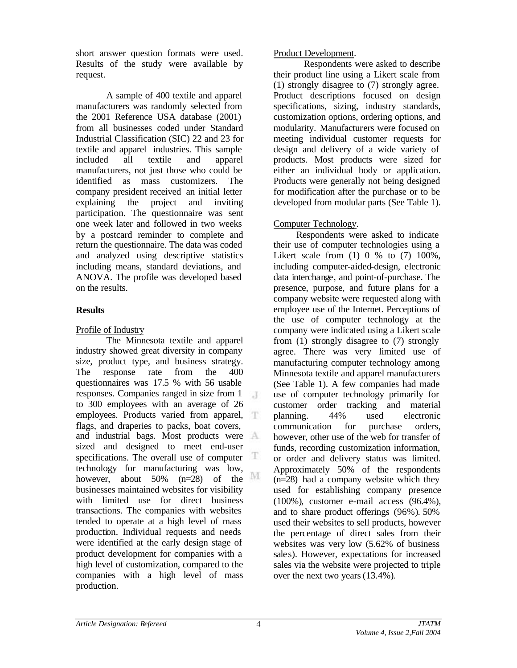short answer question formats were used. Results of the study were available by request.

A sample of 400 textile and apparel manufacturers was randomly selected from the 2001 Reference USA database (2001) from all businesses coded under Standard Industrial Classification (SIC) 22 and 23 for textile and apparel industries. This sample included all textile and apparel manufacturers, not just those who could be identified as mass customizers. The company president received an initial letter explaining the project and inviting participation. The questionnaire was sent one week later and followed in two weeks by a postcard reminder to complete and return the questionnaire. The data was coded and analyzed using descriptive statistics including means, standard deviations, and ANOVA. The profile was developed based on the results.

## **Results**

# Profile of Industry

The Minnesota textile and apparel industry showed great diversity in company size, product type, and business strategy. The response rate from the 400 questionnaires was 17.5 % with 56 usable responses. Companies ranged in size from 1  $\pi$ to 300 employees with an average of 26 employees. Products varied from apparel, flags, and draperies to packs, boat covers, and industrial bags. Most products were sized and designed to meet end-user specifications. The overall use of computer  $\Gamma$ technology for manufacturing was low,<br>however, about 50% (n=28) of the however, about 50% businesses maintained websites for visibility with limited use for direct business transactions. The companies with websites tended to operate at a high level of mass production. Individual requests and needs were identified at the early design stage of product development for companies with a high level of customization, compared to the companies with a high level of mass production.

## Product Development.

Respondents were asked to describe their product line using a Likert scale from (1) strongly disagree to (7) strongly agree. Product descriptions focused on design specifications, sizing, industry standards, customization options, ordering options, and modularity. Manufacturers were focused on meeting individual customer requests for design and delivery of a wide variety of products. Most products were sized for either an individual body or application. Products were generally not being designed for modification after the purchase or to be developed from modular parts (See Table 1).

# Computer Technology.

Respondents were asked to indicate their use of computer technologies using a Likert scale from  $(1)$  0 % to  $(7)$  100%, including computer-aided-design, electronic data interchange, and point-of-purchase. The presence, purpose, and future plans for a company website were requested along with employee use of the Internet. Perceptions of the use of computer technology at the company were indicated using a Likert scale from (1) strongly disagree to (7) strongly agree. There was very limited use of manufacturing computer technology among Minnesota textile and apparel manufacturers (See Table 1). A few companies had made use of computer technology primarily for customer order tracking and material planning. 44% used electronic communication for purchase orders, however, other use of the web for transfer of funds, recording customization information, or order and delivery status was limited. Approximately 50% of the respondents (n=28) had a company website which they used for establishing company presence (100%), customer e-mail access (96.4%), and to share product offerings (96%). 50% used their websites to sell products, however the percentage of direct sales from their websites was very low (5.62% of business sales). However, expectations for increased sales via the website were projected to triple over the next two years (13.4%).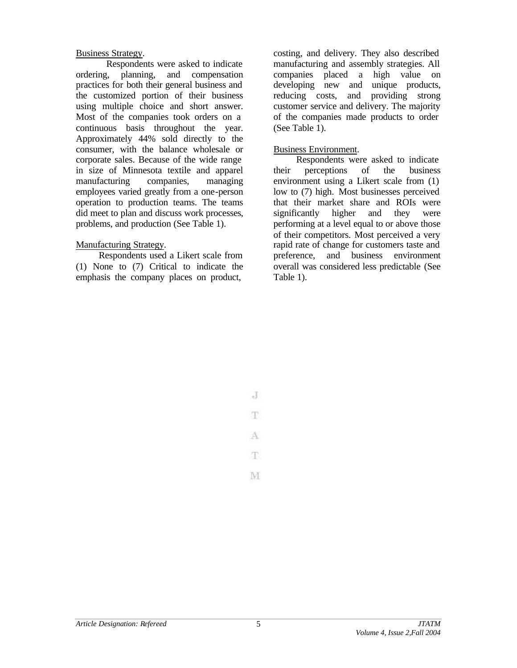Business Strategy.

Respondents were asked to indicate ordering, planning, and compensation practices for both their general business and the customized portion of their business using multiple choice and short answer. Most of the companies took orders on a continuous basis throughout the year. Approximately 44% sold directly to the consumer, with the balance wholesale or corporate sales. Because of the wide range in size of Minnesota textile and apparel manufacturing companies, managing employees varied greatly from a one-person operation to production teams. The teams did meet to plan and discuss work processes, problems, and production (See Table 1).

## Manufacturing Strategy.

Respondents used a Likert scale from (1) None to (7) Critical to indicate the emphasis the company places on product,

costing, and delivery. They also described manufacturing and assembly strategies. All companies placed a high value on developing new and unique products, reducing costs, and providing strong customer service and delivery. The majority of the companies made products to order (See Table 1).

## Business Environment.

Respondents were asked to indicate their perceptions of the business environment using a Likert scale from (1) low to (7) high. Most businesses perceived that their market share and ROIs were significantly higher and they were performing at a level equal to or above those of their competitors. Most perceived a very rapid rate of change for customers taste and preference, and business environment overall was considered less predictable (See Table 1).

T. A

T

M

J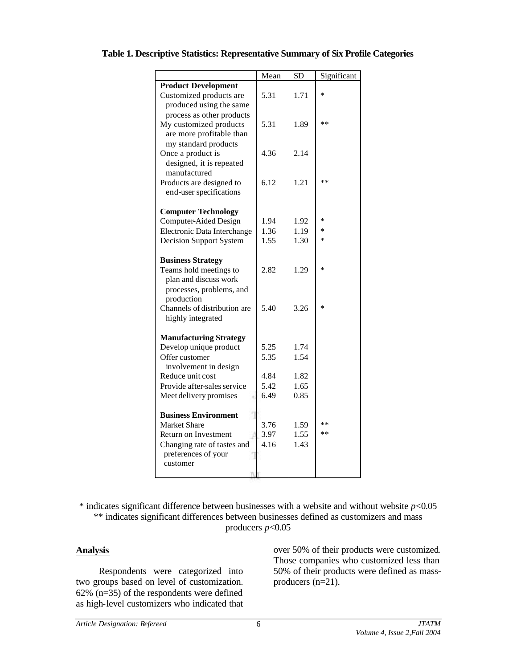### **Table 1. Descriptive Statistics: Representative Summary of Six Profile Categories**

|                                            | Mean | SD   | Significant |
|--------------------------------------------|------|------|-------------|
| <b>Product Development</b>                 |      |      |             |
| Customized products are                    | 5.31 | 1.71 | $\ast$      |
| produced using the same                    |      |      |             |
| process as other products                  |      |      |             |
| My customized products                     | 5.31 | 1.89 | $**$        |
| are more profitable than                   |      |      |             |
| my standard products                       |      |      |             |
| Once a product is                          | 4.36 | 2.14 |             |
| designed, it is repeated                   |      |      |             |
| manufactured                               |      |      |             |
| Products are designed to                   | 6.12 | 1.21 | $**$        |
| end-user specifications                    |      |      |             |
|                                            |      |      |             |
| <b>Computer Technology</b>                 |      |      |             |
| Computer-Aided Design                      | 1.94 | 1.92 | $\ast$      |
| Electronic Data Interchange                | 1.36 | 1.19 | ×           |
| <b>Decision Support System</b>             | 1.55 | 1.30 | $\ast$      |
|                                            |      |      |             |
| <b>Business Strategy</b>                   |      |      | $\ast$      |
| Teams hold meetings to                     | 2.82 | 1.29 |             |
| plan and discuss work                      |      |      |             |
| processes, problems, and                   |      |      |             |
| production<br>Channels of distribution are | 5.40 | 3.26 | $\ast$      |
| highly integrated                          |      |      |             |
|                                            |      |      |             |
| <b>Manufacturing Strategy</b>              |      |      |             |
| Develop unique product                     | 5.25 | 1.74 |             |
| Offer customer                             | 5.35 | 1.54 |             |
| involvement in design                      |      |      |             |
| Reduce unit cost                           | 4.84 | 1.82 |             |
| Provide after-sales service                | 5.42 | 1.65 |             |
| Meet delivery promises                     | 6.49 | 0.85 |             |
|                                            |      |      |             |
| <b>Business Environment</b>                |      |      |             |
| <b>Market Share</b>                        | 3.76 | 1.59 | $**$        |
| Return on Investment                       | 3.97 | 1.55 | $**$        |
| Changing rate of tastes and                | 4.16 | 1.43 |             |
| preferences of your                        |      |      |             |
| customer                                   |      |      |             |
|                                            |      |      |             |

 $*$  indicates significant difference between businesses with a website and without website  $p < 0.05$ \*\* indicates significant differences between businesses defined as customizers and mass producers *p*<0.05

### **Analysis**

Respondents were categorized into two groups based on level of customization. 62% (n=35) of the respondents were defined as high-level customizers who indicated that

over 50% of their products were customized. Those companies who customized less than 50% of their products were defined as massproducers (n=21).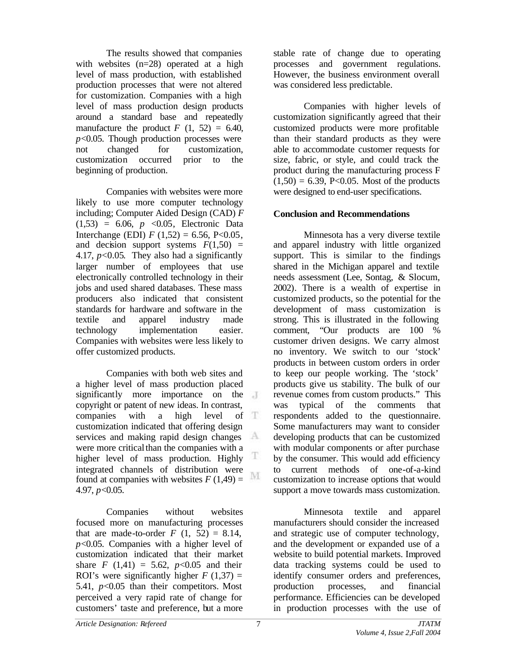The results showed that companies with websites  $(n=28)$  operated at a high level of mass production, with established production processes that were not altered for customization. Companies with a high level of mass production design products around a standard base and repeatedly manufacture the product  $F(1, 52) = 6.40$ , *p*<0.05. Though production processes were not changed for customization, customization occurred prior to the beginning of production.

Companies with websites were more likely to use more computer technology including; Computer Aided Design (CAD) *F* (1,53) = 6.06, *p* <0.05, Electronic Data Interchange (EDI)  $F(1,52) = 6.56$ , P<0.05, and decision support systems  $F(1,50)$  = 4.17, *p*<0.05. They also had a significantly larger number of employees that use electronically controlled technology in their jobs and used shared databases. These mass producers also indicated that consistent standards for hardware and software in the textile and apparel industry made technology implementation easier. Companies with websites were less likely to offer customized products.

Companies with both web sites and a higher level of mass production placed significantly more importance on the copyright or patent of new ideas. In contrast, companies with a high level of customization indicated that offering design services and making rapid design changes were more critical than the companies with a Ŧ higher level of mass production. Highly integrated channels of distribution were M found at companies with websites  $F(1,49) =$ 4.97, *p*<0.05.

Companies without websites focused more on manufacturing processes that are made-to-order *F*  $(1, 52) = 8.14$ , *p*<0.05. Companies with a higher level of customization indicated that their market share *F*  $(1,41) = 5.62$ , *p*<0.05 and their ROI's were significantly higher  $F(1,37) =$ 5.41, *p*<0.05 than their competitors. Most perceived a very rapid rate of change for customers' taste and preference, but a more

stable rate of change due to operating processes and government regulations. However, the business environment overall was considered less predictable.

Companies with higher levels of customization significantly agreed that their customized products were more profitable than their standard products as they were able to accommodate customer requests for size, fabric, or style, and could track the product during the manufacturing process F  $(1,50) = 6.39$ , P<0.05. Most of the products were designed to end-user specifications.

### **Conclusion and Recommendations**

Minnesota has a very diverse textile and apparel industry with little organized support. This is similar to the findings shared in the Michigan apparel and textile needs assessment (Lee, Sontag, & Slocum, 2002). There is a wealth of expertise in customized products, so the potential for the development of mass customization is strong. This is illustrated in the following comment, "Our products are 100 % customer driven designs. We carry almost no inventory. We switch to our 'stock' products in between custom orders in order to keep our people working. The 'stock' products give us stability. The bulk of our revenue comes from custom products." This was typical of the comments that respondents added to the questionnaire. Some manufacturers may want to consider developing products that can be customized with modular components or after purchase by the consumer. This would add efficiency to current methods of one-of-a-kind customization to increase options that would support a move towards mass customization.

Minnesota textile and apparel manufacturers should consider the increased and strategic use of computer technology, and the development or expanded use of a website to build potential markets. Improved data tracking systems could be used to identify consumer orders and preferences, production processes, and financial performance. Efficiencies can be developed in production processes with the use of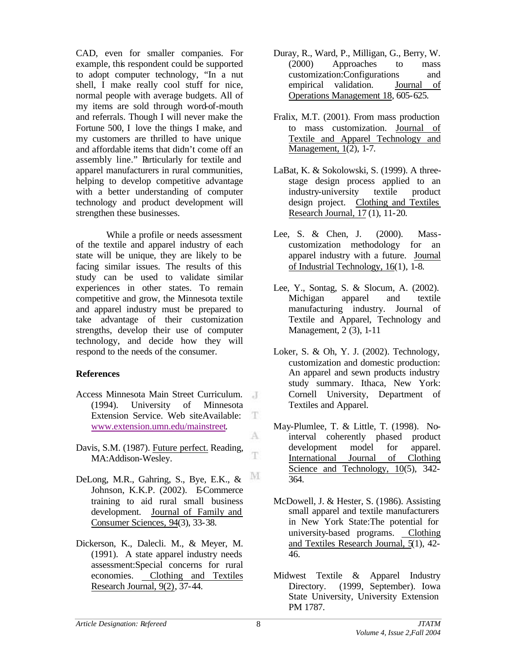CAD, even for smaller companies. For example, this respondent could be supported to adopt computer technology, "In a nut shell, I make really cool stuff for nice, normal people with average budgets. All of my items are sold through word-of-mouth and referrals. Though I will never make the Fortune 500, I love the things I make, and my customers are thrilled to have unique and affordable items that didn't come off an assembly line." Particularly for textile and apparel manufacturers in rural communities, helping to develop competitive advantage with a better understanding of computer technology and product development will strengthen these businesses.

While a profile or needs assessment of the textile and apparel industry of each state will be unique, they are likely to be facing similar issues. The results of this study can be used to validate similar experiences in other states. To remain competitive and grow, the Minnesota textile and apparel industry must be prepared to take advantage of their customization strengths, develop their use of computer technology, and decide how they will respond to the needs of the consumer.

### **References**

- Access Minnesota Main Street Curriculum.  $\overline{A}$ (1994). University of Minnesota Extension Service. Web siteAvailable: 江 www.extension.umn.edu/mainstreet. A
- Davis, S.M. (1987). Future perfect. Reading, MA:Addison-Wesley.
- M DeLong, M.R., Gahring, S., Bye, E.K., & Johnson, K.K.P. (2002). E-Commerce training to aid rural small business development. Journal of Family and Consumer Sciences, 94(3), 33-38.
- Dickerson, K., Dalecli. M., & Meyer, M. (1991). A state apparel industry needs assessment:Special concerns for rural economies. Clothing and Textiles Research Journal, 9(2), 37-44.
- Duray, R., Ward, P., Milligan, G., Berry, W. (2000) Approaches to mass customization:Configurations and empirical validation. Journal of Operations Management 18, 605-625.
- Fralix, M.T. (2001). From mass production to mass customization. Journal of Textile and Apparel Technology and Management, 1(2), 1-7.
- LaBat, K. & Sokolowski, S. (1999). A threestage design process applied to an industry-university textile product design project. Clothing and Textiles Research Journal, 17 (1), 11-20.
- Lee, S. & Chen, J. (2000). Masscustomization methodology for an apparel industry with a future. Journal of Industrial Technology, 16(1), 1-8.
- Lee, Y., Sontag, S. & Slocum, A. (2002). Michigan apparel and textile manufacturing industry. Journal of Textile and Apparel, Technology and Management, 2 (3), 1-11
- Loker, S. & Oh, Y. J. (2002). Technology, customization and domestic production: An apparel and sewn products industry study summary. Ithaca, New York: Cornell University, Department of Textiles and Apparel.
- May-Plumlee, T. & Little, T. (1998). Nointerval coherently phased product development model for apparel. International Journal of Clothing Science and Technology, 10(5), 342-364.
- McDowell, J. & Hester, S. (1986). Assisting small apparel and textile manufacturers in New York State:The potential for university-based programs. Clothing and Textiles Research Journal, 5(1), 42- 46.
- Midwest Textile & Apparel Industry Directory. (1999, September). Iowa State University, University Extension PM 1787.

T.